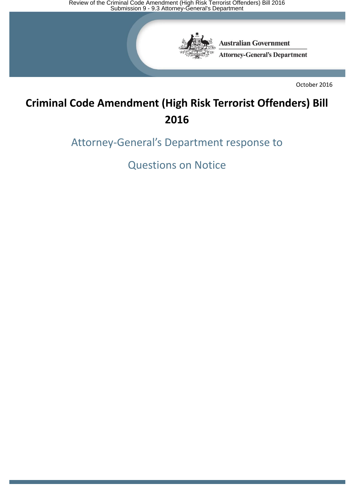Review of the Criminal Code Amendment (High Risk Terrorist Offenders) Bill 2016<br>Submission 9 - 9.3 Attorney-General's Department



**Australian Government Attorney-General's Department** 

October 2016

# **Criminal Code Amendment (High Risk Terrorist Offenders) Bill 2016**

Attorney-General's Department response to

Questions on Notice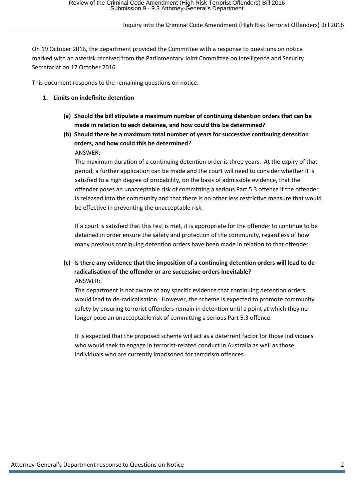On 19 October 2016, the department provided the Committee with a response to questions on notice marked with an asterisk received from the Parliamentary Joint Committee on Intelligence and Security Secretariat on 17 October 2016.

This document responds to the remaining questions on notice.

- **1. Limits on indefinite detention**
	- **(a) Should the bill stipulate a maximum number of continuing detention orders that can be made in relation to each detainee, and how could this be determined?**
	- **(b) Should there be a maximum total number of years for successive continuing detention orders, and how could this be determined**? ANSWER:

The maximum duration of a continuing detention order is three years. At the expiry of that period, a further application can be made and the court will need to consider whether it is satisfied to a high degree of probability, on the basis of admissible evidence, that the offender poses an unacceptable risk of committing a serious Part 5.3 offence if the offender is released into the community and that there is no other less restrictive measure that would be effective in preventing the unacceptable risk.

If a court is satisfied that this test is met, it is appropriate for the offender to continue to be detained in order ensure the safety and protection of the community, regardless of how many previous continuing detention orders have been made in relation to that offender.

# **(c) Is there any evidence that the imposition of a continuing detention orders will lead to deradicalisation of the offender or are successive orders inevitable**? ANSWER:

The department is not aware of any specific evidence that continuing detention orders would lead to de-radicalisation. However, the scheme is expected to promote community safety by ensuring terrorist offenders remain in detention until a point at which they no longer pose an unacceptable risk of committing a serious Part 5.3 offence.

It is expected that the proposed scheme will act as a deterrent factor for those individuals who would seek to engage in terrorist-related conduct in Australia as well as those individuals who are currently imprisoned for terrorism offences.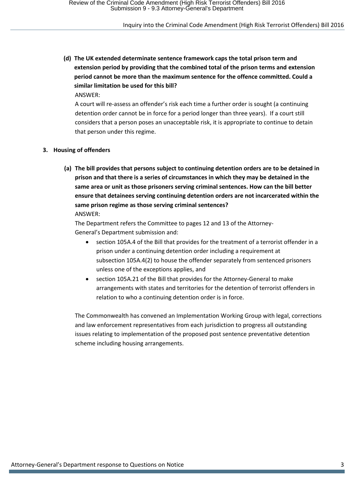**(d) The UK extended determinate sentence framework caps the total prison term and extension period by providing that the combined total of the prison terms and extension period cannot be more than the maximum sentence for the offence committed. Could a similar limitation be used for this bill?**

ANSWER:

A court will re-assess an offender's risk each time a further order is sought (a continuing detention order cannot be in force for a period longer than three years). If a court still considers that a person poses an unacceptable risk, it is appropriate to continue to detain that person under this regime.

#### **3. Housing of offenders**

**(a) The bill provides that persons subject to continuing detention orders are to be detained in prison and that there is a series of circumstances in which they may be detained in the same area or unit as those prisoners serving criminal sentences. How can the bill better ensure that detainees serving continuing detention orders are not incarcerated within the same prison regime as those serving criminal sentences?** ANSWER:

The Department refers the Committee to pages 12 and 13 of the Attorney-General's Department submission and:

- section 105A.4 of the Bill that provides for the treatment of a terrorist offender in a prison under a continuing detention order including a requirement at subsection 105A.4(2) to house the offender separately from sentenced prisoners unless one of the exceptions applies, and
- section 105A.21 of the Bill that provides for the Attorney-General to make arrangements with states and territories for the detention of terrorist offenders in relation to who a continuing detention order is in force.

The Commonwealth has convened an Implementation Working Group with legal, corrections and law enforcement representatives from each jurisdiction to progress all outstanding issues relating to implementation of the proposed post sentence preventative detention scheme including housing arrangements.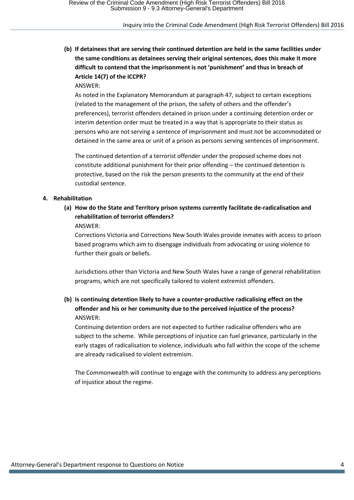**(b) If detainees that are serving their continued detention are held in the same facilities under the same conditions as detainees serving their original sentences, does this make it more difficult to contend that the imprisonment is not 'punishment' and thus in breach of Article 14(7) of the ICCPR?**

ANSWER:

As noted in the Explanatory Memorandum at paragraph 47, subject to certain exceptions (related to the management of the prison, the safety of others and the offender's preferences), terrorist offenders detained in prison under a continuing detention order or interim detention order must be treated in a way that is appropriate to their status as persons who are not serving a sentence of imprisonment and must not be accommodated or detained in the same area or unit of a prison as persons serving sentences of imprisonment.

The continued detention of a terrorist offender under the proposed scheme does not constitute additional punishment for their prior offending – the continued detention is protective, based on the risk the person presents to the community at the end of their custodial sentence.

#### **4. Rehabilitation**

**(a) How do the State and Territory prison systems currently facilitate de-radicalisation and rehabilitation of terrorist offenders?** ANSWER:

Corrections Victoria and Corrections New South Wales provide inmates with access to prison based programs which aim to disengage individuals from advocating or using violence to further their goals or beliefs.

Jurisdictions other than Victoria and New South Wales have a range of general rehabilitation programs, which are not specifically tailored to violent extremist offenders.

# **(b) Is continuing detention likely to have a counter-productive radicalising effect on the offender and his or her community due to the perceived injustice of the process?** ANSWER:

Continuing detention orders are not expected to further radicalise offenders who are subject to the scheme. While perceptions of injustice can fuel grievance, particularly in the early stages of radicalisation to violence, individuals who fall within the scope of the scheme are already radicalised to violent extremism.

The Commonwealth will continue to engage with the community to address any perceptions of injustice about the regime.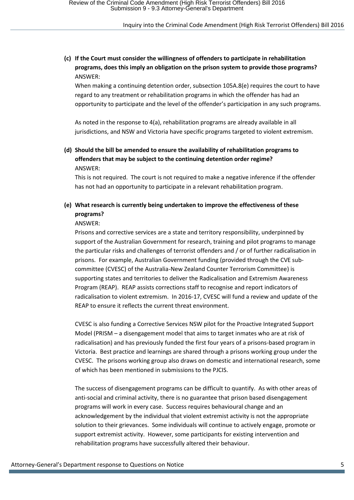### **(c) If the Court must consider the willingness of offenders to participate in rehabilitation programs, does this imply an obligation on the prison system to provide those programs?**  ANSWER:

When making a continuing detention order, subsection 105A.8(e) requires the court to have regard to any treatment or rehabilitation programs in which the offender has had an opportunity to participate and the level of the offender's participation in any such programs.

As noted in the response to 4(a), rehabilitation programs are already available in all jurisdictions, and NSW and Victoria have specific programs targeted to violent extremism.

### **(d) Should the bill be amended to ensure the availability of rehabilitation programs to offenders that may be subject to the continuing detention order regime?** ANSWER:

This is not required. The court is not required to make a negative inference if the offender has not had an opportunity to participate in a relevant rehabilitation program.

# **(e) What research is currently being undertaken to improve the effectiveness of these programs?**

#### ANSWER:

Prisons and corrective services are a state and territory responsibility, underpinned by support of the Australian Government for research, training and pilot programs to manage the particular risks and challenges of terrorist offenders and / or of further radicalisation in prisons. For example, Australian Government funding (provided through the CVE subcommittee (CVESC) of the Australia-New Zealand Counter Terrorism Committee) is supporting states and territories to deliver the Radicalisation and Extremism Awareness Program (REAP). REAP assists corrections staff to recognise and report indicators of radicalisation to violent extremism. In 2016-17, CVESC will fund a review and update of the REAP to ensure it reflects the current threat environment.

CVESC is also funding a Corrective Services NSW pilot for the Proactive Integrated Support Model (PRISM – a disengagement model that aims to target inmates who are at risk of radicalisation) and has previously funded the first four years of a prisons-based program in Victoria. Best practice and learnings are shared through a prisons working group under the CVESC. The prisons working group also draws on domestic and international research, some of which has been mentioned in submissions to the PJCIS.

The success of disengagement programs can be difficult to quantify. As with other areas of anti-social and criminal activity, there is no guarantee that prison based disengagement programs will work in every case. Success requires behavioural change and an acknowledgement by the individual that violent extremist activity is not the appropriate solution to their grievances. Some individuals will continue to actively engage, promote or support extremist activity. However, some participants for existing intervention and rehabilitation programs have successfully altered their behaviour.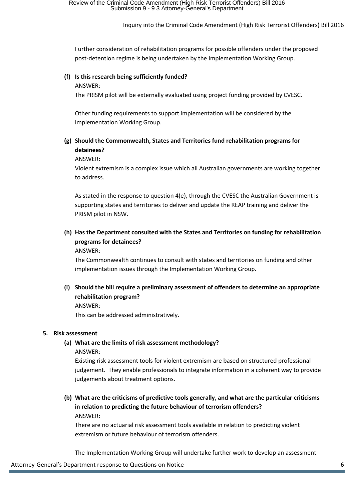Further consideration of rehabilitation programs for possible offenders under the proposed post-detention regime is being undertaken by the Implementation Working Group.

# **(f) Is this research being sufficiently funded?**

ANSWER:

The PRISM pilot will be externally evaluated using project funding provided by CVESC.

Other funding requirements to support implementation will be considered by the Implementation Working Group.

# **(g) Should the Commonwealth, States and Territories fund rehabilitation programs for detainees?**

ANSWER:

Violent extremism is a complex issue which all Australian governments are working together to address.

As stated in the response to question 4(e), through the CVESC the Australian Government is supporting states and territories to deliver and update the REAP training and deliver the PRISM pilot in NSW.

# **(h) Has the Department consulted with the States and Territories on funding for rehabilitation programs for detainees?**

ANSWER:

The Commonwealth continues to consult with states and territories on funding and other implementation issues through the Implementation Working Group.

**(i) Should the bill require a preliminary assessment of offenders to determine an appropriate rehabilitation program?**

ANSWER:

This can be addressed administratively.

### **5. Risk assessment**

# **(a) What are the limits of risk assessment methodology?**

ANSWER:

Existing risk assessment tools for violent extremism are based on structured professional judgement. They enable professionals to integrate information in a coherent way to provide judgements about treatment options.

**(b) What are the criticisms of predictive tools generally, and what are the particular criticisms in relation to predicting the future behaviour of terrorism offenders?** ANSWER:

There are no actuarial risk assessment tools available in relation to predicting violent extremism or future behaviour of terrorism offenders.

The Implementation Working Group will undertake further work to develop an assessment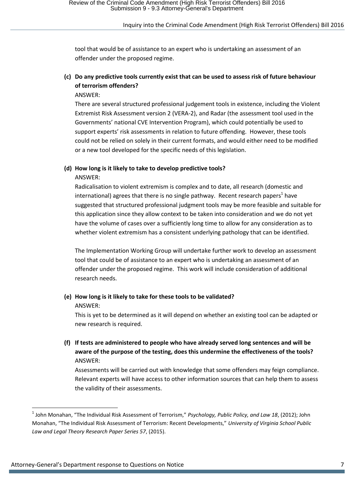tool that would be of assistance to an expert who is undertaking an assessment of an offender under the proposed regime.

# **(c) Do any predictive tools currently exist that can be used to assess risk of future behaviour of terrorism offenders?**

ANSWER:

There are several structured professional judgement tools in existence, including the Violent Extremist Risk Assessment version 2 (VERA-2), and Radar (the assessment tool used in the Governments' national CVE Intervention Program), which could potentially be used to support experts' risk assessments in relation to future offending. However, these tools could not be relied on solely in their current formats, and would either need to be modified or a new tool developed for the specific needs of this legislation.

# **(d) How long is it likely to take to develop predictive tools?**

ANSWER:

Radicalisation to violent extremism is complex and to date, all research (domestic and international) agrees that there is no single pathway. Recent research papers<sup>1</sup> have suggested that structured professional judgment tools may be more feasible and suitable for this application since they allow context to be taken into consideration and we do not yet have the volume of cases over a sufficiently long time to allow for any consideration as to whether violent extremism has a consistent underlying pathology that can be identified.

The Implementation Working Group will undertake further work to develop an assessment tool that could be of assistance to an expert who is undertaking an assessment of an offender under the proposed regime. This work will include consideration of additional research needs.

# **(e) How long is it likely to take for these tools to be validated?**

ANSWER:

This is yet to be determined as it will depend on whether an existing tool can be adapted or new research is required.

**(f) If tests are administered to people who have already served long sentences and will be aware of the purpose of the testing, does this undermine the effectiveness of the tools?** ANSWER:

Assessments will be carried out with knowledge that some offenders may feign compliance. Relevant experts will have access to other information sources that can help them to assess the validity of their assessments.

**<sup>.</sup>** 1 John Monahan, "The Individual Risk Assessment of Terrorism," *Psychology, Public Policy, and Law 18*, (2012); John Monahan, "The Individual Risk Assessment of Terrorism: Recent Developments," *University of Virginia School Public Law and Legal Theory Research Paper Series 57*, (2015).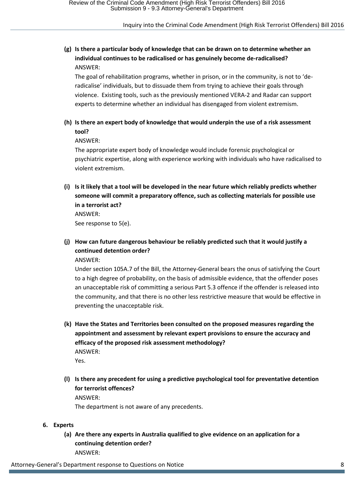# **(g) Is there a particular body of knowledge that can be drawn on to determine whether an individual continues to be radicalised or has genuinely become de-radicalised?** ANSWER:

The goal of rehabilitation programs, whether in prison, or in the community, is not to 'deradicalise' individuals, but to dissuade them from trying to achieve their goals through violence. Existing tools, such as the previously mentioned VERA-2 and Radar can support experts to determine whether an individual has disengaged from violent extremism.

# **(h) Is there an expert body of knowledge that would underpin the use of a risk assessment tool?**

ANSWER:

The appropriate expert body of knowledge would include forensic psychological or psychiatric expertise, along with experience working with individuals who have radicalised to violent extremism.

**(i) Is it likely that a tool will be developed in the near future which reliably predicts whether someone will commit a preparatory offence, such as collecting materials for possible use in a terrorist act?**

ANSWER: See response to 5(e).

# **(j) How can future dangerous behaviour be reliably predicted such that it would justify a continued detention order?**

ANSWER:

Under section 105A.7 of the Bill, the Attorney-General bears the onus of satisfying the Court to a high degree of probability, on the basis of admissible evidence, that the offender poses an unacceptable risk of committing a serious Part 5.3 offence if the offender is released into the community, and that there is no other less restrictive measure that would be effective in preventing the unacceptable risk.

- **(k) Have the States and Territories been consulted on the proposed measures regarding the appointment and assessment by relevant expert provisions to ensure the accuracy and efficacy of the proposed risk assessment methodology?** ANSWER: Yes.
- **(l) Is there any precedent for using a predictive psychological tool for preventative detention for terrorist offences?** ANSWER: The department is not aware of any precedents.
- **6. Experts**
	- **(a) Are there any experts in Australia qualified to give evidence on an application for a continuing detention order?** ANSWER:

Attorney-General's Department response to Questions on Notice 8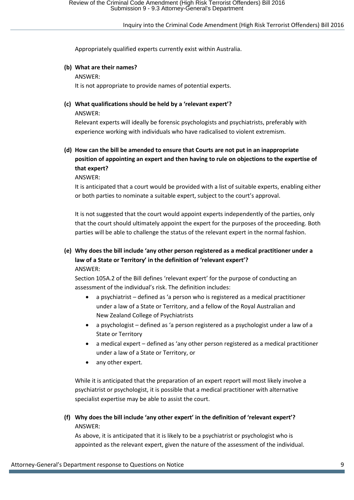Appropriately qualified experts currently exist within Australia.

# **(b) What are their names?**

ANSWER:

It is not appropriate to provide names of potential experts.

# **(c) What qualifications should be held by a 'relevant expert'?**

ANSWER:

Relevant experts will ideally be forensic psychologists and psychiatrists, preferably with experience working with individuals who have radicalised to violent extremism.

# **(d) How can the bill be amended to ensure that Courts are not put in an inappropriate position of appointing an expert and then having to rule on objections to the expertise of that expert?**

ANSWER:

It is anticipated that a court would be provided with a list of suitable experts, enabling either or both parties to nominate a suitable expert, subject to the court's approval.

It is not suggested that the court would appoint experts independently of the parties, only that the court should ultimately appoint the expert for the purposes of the proceeding. Both parties will be able to challenge the status of the relevant expert in the normal fashion.

# **(e) Why does the bill include 'any other person registered as a medical practitioner under a law of a State or Territory' in the definition of 'relevant expert'?** ANSWER:

Section 105A.2 of the Bill defines 'relevant expert' for the purpose of conducting an assessment of the individual's risk. The definition includes:

- a psychiatrist defined as 'a person who is registered as a medical practitioner under a law of a State or Territory, and a fellow of the Royal Australian and New Zealand College of Psychiatrists
- a psychologist defined as 'a person registered as a psychologist under a law of a State or Territory
- a medical expert defined as 'any other person registered as a medical practitioner under a law of a State or Territory, or
- any other expert.

While it is anticipated that the preparation of an expert report will most likely involve a psychiatrist or psychologist, it is possible that a medical practitioner with alternative specialist expertise may be able to assist the court.

# **(f) Why does the bill include 'any other expert' in the definition of 'relevant expert'?** ANSWER:

As above, it is anticipated that it is likely to be a psychiatrist or psychologist who is appointed as the relevant expert, given the nature of the assessment of the individual.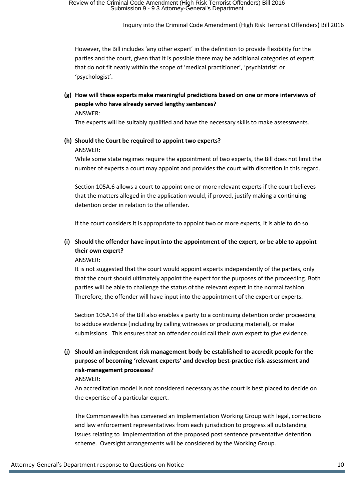However, the Bill includes 'any other expert' in the definition to provide flexibility for the parties and the court, given that it is possible there may be additional categories of expert that do not fit neatly within the scope of 'medical practitioner', 'psychiatrist' or 'psychologist'.

**(g) How will these experts make meaningful predictions based on one or more interviews of people who have already served lengthy sentences?** ANSWER:

The experts will be suitably qualified and have the necessary skills to make assessments.

# **(h) Should the Court be required to appoint two experts?**

#### ANSWER:

While some state regimes require the appointment of two experts, the Bill does not limit the number of experts a court may appoint and provides the court with discretion in this regard.

Section 105A.6 allows a court to appoint one or more relevant experts if the court believes that the matters alleged in the application would, if proved, justify making a continuing detention order in relation to the offender.

If the court considers it is appropriate to appoint two or more experts, it is able to do so.

# **(i) Should the offender have input into the appointment of the expert, or be able to appoint their own expert?**

#### ANSWER:

It is not suggested that the court would appoint experts independently of the parties, only that the court should ultimately appoint the expert for the purposes of the proceeding. Both parties will be able to challenge the status of the relevant expert in the normal fashion. Therefore, the offender will have input into the appointment of the expert or experts.

Section 105A.14 of the Bill also enables a party to a continuing detention order proceeding to adduce evidence (including by calling witnesses or producing material), or make submissions. This ensures that an offender could call their own expert to give evidence.

# **(j) Should an independent risk management body be established to accredit people for the purpose of becoming 'relevant experts' and develop best-practice risk-assessment and risk-management processes?**

#### ANSWER:

An accreditation model is not considered necessary as the court is best placed to decide on the expertise of a particular expert.

The Commonwealth has convened an Implementation Working Group with legal, corrections and law enforcement representatives from each jurisdiction to progress all outstanding issues relating to implementation of the proposed post sentence preventative detention scheme. Oversight arrangements will be considered by the Working Group.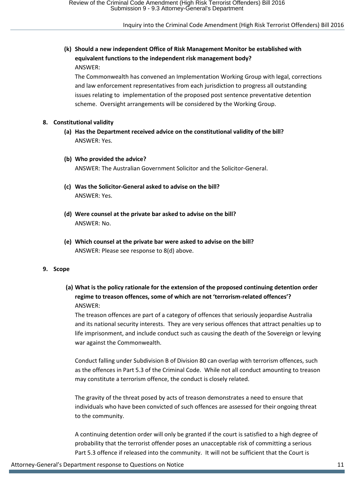# **(k) Should a new independent Office of Risk Management Monitor be established with equivalent functions to the independent risk management body?** ANSWER:

The Commonwealth has convened an Implementation Working Group with legal, corrections and law enforcement representatives from each jurisdiction to progress all outstanding issues relating to implementation of the proposed post sentence preventative detention scheme. Oversight arrangements will be considered by the Working Group.

#### **8. Constitutional validity**

- **(a) Has the Department received advice on the constitutional validity of the bill?** ANSWER: Yes.
- **(b) Who provided the advice?** ANSWER: The Australian Government Solicitor and the Solicitor-General.
- **(c) Was the Solicitor-General asked to advise on the bill?** ANSWER: Yes.
- **(d) Were counsel at the private bar asked to advise on the bill?** ANSWER: No.
- **(e) Which counsel at the private bar were asked to advise on the bill?** ANSWER: Please see response to 8(d) above.

#### **9. Scope**

**(a) What is the policy rationale for the extension of the proposed continuing detention order regime to treason offences, some of which are not 'terrorism-related offences'?** ANSWER:

The treason offences are part of a category of offences that seriously jeopardise Australia and its national security interests. They are very serious offences that attract penalties up to life imprisonment, and include conduct such as causing the death of the Sovereign or levying war against the Commonwealth.

Conduct falling under Subdivision B of Division 80 can overlap with terrorism offences, such as the offences in Part 5.3 of the Criminal Code. While not all conduct amounting to treason may constitute a terrorism offence, the conduct is closely related.

The gravity of the threat posed by acts of treason demonstrates a need to ensure that individuals who have been convicted of such offences are assessed for their ongoing threat to the community.

A continuing detention order will only be granted if the court is satisfied to a high degree of probability that the terrorist offender poses an unacceptable risk of committing a serious Part 5.3 offence if released into the community. It will not be sufficient that the Court is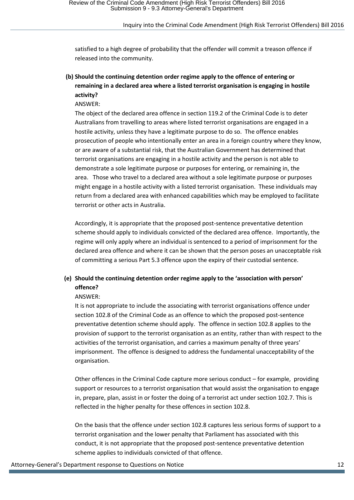satisfied to a high degree of probability that the offender will commit a treason offence if released into the community.

# **(b) Should the continuing detention order regime apply to the offence of entering or remaining in a declared area where a listed terrorist organisation is engaging in hostile activity?**

ANSWER:

The object of the declared area offence in section 119.2 of the Criminal Code is to deter Australians from travelling to areas where listed terrorist organisations are engaged in a hostile activity, unless they have a legitimate purpose to do so. The offence enables prosecution of people who intentionally enter an area in a foreign country where they know, or are aware of a substantial risk, that the Australian Government has determined that terrorist organisations are engaging in a hostile activity and the person is not able to demonstrate a sole legitimate purpose or purposes for entering, or remaining in, the area. Those who travel to a declared area without a sole legitimate purpose or purposes might engage in a hostile activity with a listed terrorist organisation. These individuals may return from a declared area with enhanced capabilities which may be employed to facilitate terrorist or other acts in Australia.

Accordingly, it is appropriate that the proposed post-sentence preventative detention scheme should apply to individuals convicted of the declared area offence. Importantly, the regime will only apply where an individual is sentenced to a period of imprisonment for the declared area offence and where it can be shown that the person poses an unacceptable risk of committing a serious Part 5.3 offence upon the expiry of their custodial sentence.

# **(e) Should the continuing detention order regime apply to the 'association with person' offence?**

#### ANSWER:

It is not appropriate to include the associating with terrorist organisations offence under section 102.8 of the Criminal Code as an offence to which the proposed post-sentence preventative detention scheme should apply. The offence in section 102.8 applies to the provision of support to the terrorist organisation as an entity, rather than with respect to the activities of the terrorist organisation, and carries a maximum penalty of three years' imprisonment. The offence is designed to address the fundamental unacceptability of the organisation.

Other offences in the Criminal Code capture more serious conduct – for example, providing support or resources to a terrorist organisation that would assist the organisation to engage in, prepare, plan, assist in or foster the doing of a terrorist act under section 102.7. This is reflected in the higher penalty for these offences in section 102.8.

On the basis that the offence under section 102.8 captures less serious forms of support to a terrorist organisation and the lower penalty that Parliament has associated with this conduct, it is not appropriate that the proposed post-sentence preventative detention scheme applies to individuals convicted of that offence.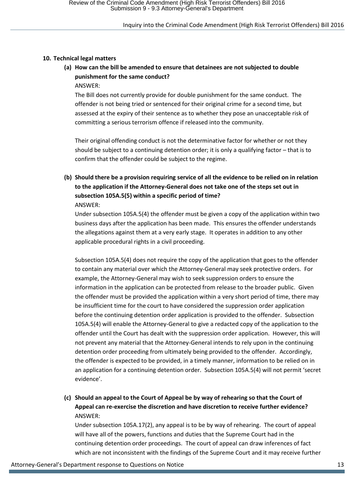#### **10. Technical legal matters**

**(a) How can the bill be amended to ensure that detainees are not subjected to double punishment for the same conduct?**

ANSWER:

The Bill does not currently provide for double punishment for the same conduct. The offender is not being tried or sentenced for their original crime for a second time, but assessed at the expiry of their sentence as to whether they pose an unacceptable risk of committing a serious terrorism offence if released into the community.

Their original offending conduct is not the determinative factor for whether or not they should be subject to a continuing detention order; it is only a qualifying factor – that is to confirm that the offender could be subject to the regime.

**(b) Should there be a provision requiring service of all the evidence to be relied on in relation to the application if the Attorney-General does not take one of the steps set out in subsection 105A.5(5) within a specific period of time?** ANSWER:

Under subsection 105A.5(4) the offender must be given a copy of the application within two business days after the application has been made. This ensures the offender understands the allegations against them at a very early stage. It operates in addition to any other applicable procedural rights in a civil proceeding.

Subsection 105A.5(4) does not require the copy of the application that goes to the offender to contain any material over which the Attorney-General may seek protective orders. For example, the Attorney-General may wish to seek suppression orders to ensure the information in the application can be protected from release to the broader public. Given the offender must be provided the application within a very short period of time, there may be insufficient time for the court to have considered the suppression order application before the continuing detention order application is provided to the offender. Subsection 105A.5(4) will enable the Attorney-General to give a redacted copy of the application to the offender until the Court has dealt with the suppression order application. However, this will not prevent any material that the Attorney-General intends to rely upon in the continuing detention order proceeding from ultimately being provided to the offender. Accordingly, the offender is expected to be provided, in a timely manner, information to be relied on in an application for a continuing detention order. Subsection 105A.5(4) will not permit 'secret evidence'.

**(c) Should an appeal to the Court of Appeal be by way of rehearing so that the Court of Appeal can re-exercise the discretion and have discretion to receive further evidence?** ANSWER:

Under subsection 105A.17(2), any appeal is to be by way of rehearing. The court of appeal will have all of the powers, functions and duties that the Supreme Court had in the continuing detention order proceedings. The court of appeal can draw inferences of fact which are not inconsistent with the findings of the Supreme Court and it may receive further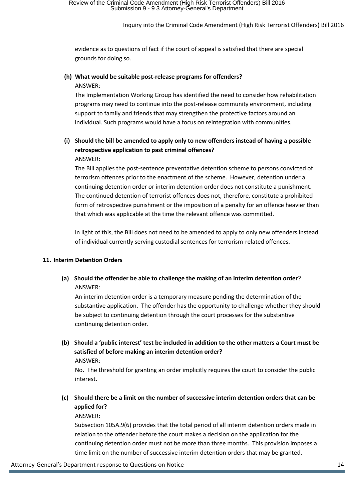evidence as to questions of fact if the court of appeal is satisfied that there are special grounds for doing so.

#### **(h) What would be suitable post-release programs for offenders?** ANSWER:

The Implementation Working Group has identified the need to consider how rehabilitation programs may need to continue into the post-release community environment, including support to family and friends that may strengthen the protective factors around an individual. Such programs would have a focus on reintegration with communities.

### **(i) Should the bill be amended to apply only to new offenders instead of having a possible retrospective application to past criminal offences?** ANSWER:

The Bill applies the post-sentence preventative detention scheme to persons convicted of terrorism offences prior to the enactment of the scheme. However, detention under a continuing detention order or interim detention order does not constitute a punishment. The continued detention of terrorist offences does not, therefore, constitute a prohibited form of retrospective punishment or the imposition of a penalty for an offence heavier than that which was applicable at the time the relevant offence was committed.

In light of this, the Bill does not need to be amended to apply to only new offenders instead of individual currently serving custodial sentences for terrorism-related offences.

#### **11. Interim Detention Orders**

**(a) Should the offender be able to challenge the making of an interim detention order**? ANSWER:

An interim detention order is a temporary measure pending the determination of the substantive application. The offender has the opportunity to challenge whether they should be subject to continuing detention through the court processes for the substantive continuing detention order.

**(b) Should a 'public interest' test be included in addition to the other matters a Court must be satisfied of before making an interim detention order?** ANSWER:

No. The threshold for granting an order implicitly requires the court to consider the public interest.

**(c) Should there be a limit on the number of successive interim detention orders that can be applied for?**

#### ANSWER:

Subsection 105A.9(6) provides that the total period of all interim detention orders made in relation to the offender before the court makes a decision on the application for the continuing detention order must not be more than three months. This provision imposes a time limit on the number of successive interim detention orders that may be granted.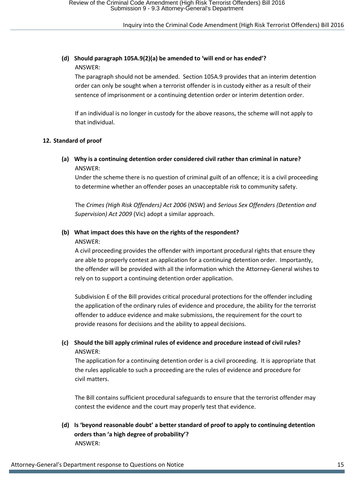### **(d) Should paragraph 105A.9(2)(a) be amended to 'will end or has ended'?** ANSWER:

The paragraph should not be amended. Section 105A.9 provides that an interim detention order can only be sought when a terrorist offender is in custody either as a result of their sentence of imprisonment or a continuing detention order or interim detention order.

If an individual is no longer in custody for the above reasons, the scheme will not apply to that individual.

#### **12. Standard of proof**

### **(a) Why is a continuing detention order considered civil rather than criminal in nature?** ANSWER:

Under the scheme there is no question of criminal guilt of an offence; it is a civil proceeding to determine whether an offender poses an unacceptable risk to community safety.

The *Crimes (High Risk Offenders) Act 2006* (NSW) and *Serious Sex Offenders (Detention and Supervision) Act 2009* (Vic) adopt a similar approach.

#### **(b) What impact does this have on the rights of the respondent?** ANSWER:

A civil proceeding provides the offender with important procedural rights that ensure they are able to properly contest an application for a continuing detention order. Importantly, the offender will be provided with all the information which the Attorney-General wishes to rely on to support a continuing detention order application.

Subdivision E of the Bill provides critical procedural protections for the offender including the application of the ordinary rules of evidence and procedure, the ability for the terrorist offender to adduce evidence and make submissions, the requirement for the court to provide reasons for decisions and the ability to appeal decisions.

# **(c) Should the bill apply criminal rules of evidence and procedure instead of civil rules?** ANSWER:

The application for a continuing detention order is a civil proceeding. It is appropriate that the rules applicable to such a proceeding are the rules of evidence and procedure for civil matters.

The Bill contains sufficient procedural safeguards to ensure that the terrorist offender may contest the evidence and the court may properly test that evidence.

**(d) Is 'beyond reasonable doubt' a better standard of proof to apply to continuing detention orders than 'a high degree of probability'?** ANSWER: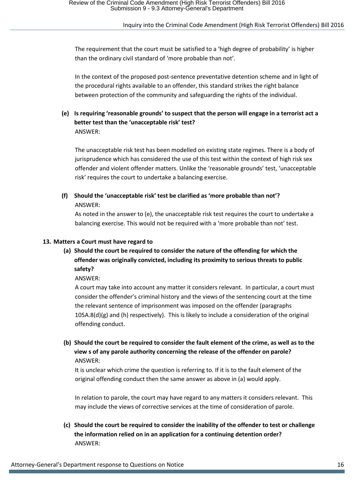The requirement that the court must be satisfied to a 'high degree of probability' is higher than the ordinary civil standard of 'more probable than not'.

In the context of the proposed post-sentence preventative detention scheme and in light of the procedural rights available to an offender, this standard strikes the right balance between protection of the community and safeguarding the rights of the individual.

### **(e) Is requiring 'reasonable grounds' to suspect that the person will engage in a terrorist act a better test than the 'unacceptable risk' test?** ANSWER:

The unacceptable risk test has been modelled on existing state regimes. There is a body of jurisprudence which has considered the use of this test within the context of high risk sex offender and violent offender matters. Unlike the 'reasonable grounds' test, 'unacceptable risk' requires the court to undertake a balancing exercise.

**(f) Should the 'unacceptable risk' test be clarified as 'more probable than not'?** ANSWER:

As noted in the answer to (e), the unacceptable risk test requires the court to undertake a balancing exercise. This would not be required with a 'more probable than not' test.

#### **13. Matters a Court must have regard to**

**(a) Should the court be required to consider the nature of the offending for which the offender was originally convicted, including its proximity to serious threats to public safety?**

ANSWER:

A court may take into account any matter it considers relevant. In particular, a court must consider the offender's criminal history and the views of the sentencing court at the time the relevant sentence of imprisonment was imposed on the offender (paragraphs  $105A.8(d)(g)$  and (h) respectively). This is likely to include a consideration of the original offending conduct.

**(b) Should the court be required to consider the fault element of the crime, as well as to the view s of any parole authority concerning the release of the offender on parole?** ANSWER:

It is unclear which crime the question is referring to. If it is to the fault element of the original offending conduct then the same answer as above in (a) would apply.

In relation to parole, the court may have regard to any matters it considers relevant. This may include the views of corrective services at the time of consideration of parole.

**(c) Should the court be required to consider the inability of the offender to test or challenge the information relied on in an application for a continuing detention order?** ANSWER: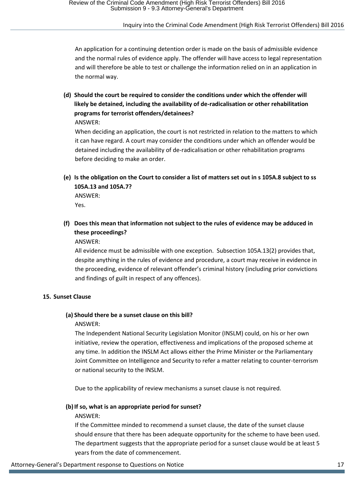An application for a continuing detention order is made on the basis of admissible evidence and the normal rules of evidence apply. The offender will have access to legal representation and will therefore be able to test or challenge the information relied on in an application in the normal way.

**(d) Should the court be required to consider the conditions under which the offender will likely be detained, including the availability of de-radicalisation or other rehabilitation programs for terrorist offenders/detainees?**

ANSWER:

When deciding an application, the court is not restricted in relation to the matters to which it can have regard. A court may consider the conditions under which an offender would be detained including the availability of de-radicalisation or other rehabilitation programs before deciding to make an order.

**(e) Is the obligation on the Court to consider a list of matters set out in s 105A.8 subject to ss 105A.13 and 105A.7?**

ANSWER: Yes.

**(f) Does this mean that information not subject to the rules of evidence may be adduced in these proceedings?**

ANSWER:

All evidence must be admissible with one exception. Subsection 105A.13(2) provides that, despite anything in the rules of evidence and procedure, a court may receive in evidence in the proceeding, evidence of relevant offender's criminal history (including prior convictions and findings of guilt in respect of any offences).

#### **15. Sunset Clause**

#### **(a) Should there be a sunset clause on this bill?**

#### ANSWER:

The Independent National Security Legislation Monitor (INSLM) could, on his or her own initiative, review the operation, effectiveness and implications of the proposed scheme at any time. In addition the INSLM Act allows either the Prime Minister or the Parliamentary Joint Committee on Intelligence and Security to refer a matter relating to counter-terrorism or national security to the INSLM.

Due to the applicability of review mechanisms a sunset clause is not required.

#### **(b)If so, what is an appropriate period for sunset?**

#### ANSWER:

If the Committee minded to recommend a sunset clause, the date of the sunset clause should ensure that there has been adequate opportunity for the scheme to have been used. The department suggests that the appropriate period for a sunset clause would be at least 5 years from the date of commencement.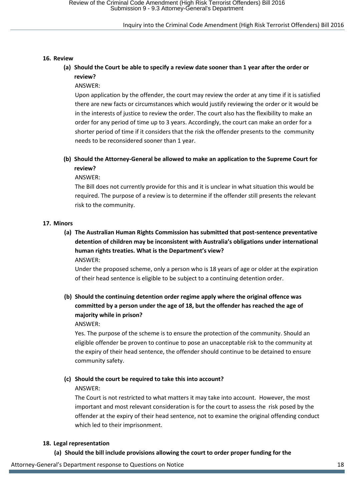#### **16. Review**

### **(a) Should the Court be able to specify a review date sooner than 1 year after the order or review?**

ANSWER:

Upon application by the offender, the court may review the order at any time if it is satisfied there are new facts or circumstances which would justify reviewing the order or it would be in the interests of justice to review the order. The court also has the flexibility to make an order for any period of time up to 3 years. Accordingly, the court can make an order for a shorter period of time if it considers that the risk the offender presents to the community needs to be reconsidered sooner than 1 year.

# **(b) Should the Attorney-General be allowed to make an application to the Supreme Court for review?**

ANSWER:

The Bill does not currently provide for this and it is unclear in what situation this would be required. The purpose of a review is to determine if the offender still presents the relevant risk to the community.

#### **17. Minors**

**(a) The Australian Human Rights Commission has submitted that post-sentence preventative detention of children may be inconsistent with Australia's obligations under international human rights treaties. What is the Department's view?** ANSWER:

Under the proposed scheme, only a person who is 18 years of age or older at the expiration of their head sentence is eligible to be subject to a continuing detention order.

# **(b) Should the continuing detention order regime apply where the original offence was committed by a person under the age of 18, but the offender has reached the age of majority while in prison?**

ANSWER:

Yes. The purpose of the scheme is to ensure the protection of the community. Should an eligible offender be proven to continue to pose an unacceptable risk to the community at the expiry of their head sentence, the offender should continue to be detained to ensure community safety.

#### **(c) Should the court be required to take this into account?**

#### ANSWER:

The Court is not restricted to what matters it may take into account. However, the most important and most relevant consideration is for the court to assess the risk posed by the offender at the expiry of their head sentence, not to examine the original offending conduct which led to their imprisonment.

#### **18. Legal representation**

**(a) Should the bill include provisions allowing the court to order proper funding for the** 

Attorney-General's Department response to Questions on Notice 18 and 18 and 18 and 18 and 18 and 18 and 18 and 18 and 18 and 18 and 18 and 18 and 18 and 18 and 18 and 18 and 18 and 18 and 18 and 18 and 18 and 18 and 18 and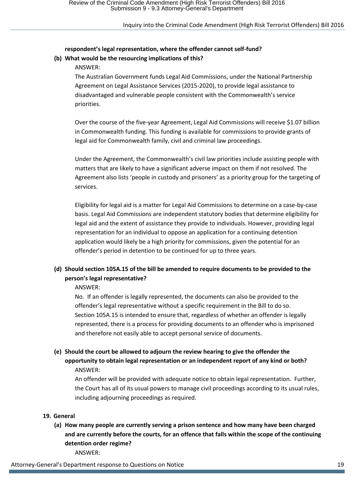### **respondent's legal representation, where the offender cannot self-fund? (b) What would be the resourcing implications of this?**

#### ANSWER:

The Australian Government funds Legal Aid Commissions, under the National Partnership Agreement on Legal Assistance Services (2015-2020), to provide legal assistance to disadvantaged and vulnerable people consistent with the Commonwealth's service priorities.

Over the course of the five-year Agreement, Legal Aid Commissions will receive \$1.07 billion in Commonwealth funding. This funding is available for commissions to provide grants of legal aid for Commonwealth family, civil and criminal law proceedings.

Under the Agreement, the Commonwealth's civil law priorities include assisting people with matters that are likely to have a significant adverse impact on them if not resolved. The Agreement also lists 'people in custody and prisoners' as a priority group for the targeting of services.

Eligibility for legal aid is a matter for Legal Aid Commissions to determine on a case-by-case basis. Legal Aid Commissions are independent statutory bodies that determine eligibility for legal aid and the extent of assistance they provide to individuals. However, providing legal representation for an individual to oppose an application for a continuing detention application would likely be a high priority for commissions, given the potential for an offender's period in detention to be continued for up to three years.

# **(d) Should section 105A.15 of the bill be amended to require documents to be provided to the person's legal representative?**

ANSWER:

No. If an offender is legally represented, the documents can also be provided to the offender's legal representative without a specific requirement in the Bill to do so. Section 105A.15 is intended to ensure that, regardless of whether an offender is legally represented, there is a process for providing documents to an offender who is imprisoned and therefore not easily able to accept personal service of documents.

**(e) Should the court be allowed to adjourn the review hearing to give the offender the opportunity to obtain legal representation or an independent report of any kind or both?** ANSWER:

An offender will be provided with adequate notice to obtain legal representation. Further, the Court has all of its usual powers to manage civil proceedings according to its usual rules, including adjourning proceedings as required.

### **19. General**

**(a) How many people are currently serving a prison sentence and how many have been charged and are currently before the courts, for an offence that falls within the scope of the continuing detention order regime?** ANSWER:

Attorney-General's Department response to Questions on Notice 19 Notice 19 Notice 19 Notice 19 Notice 19 Notice